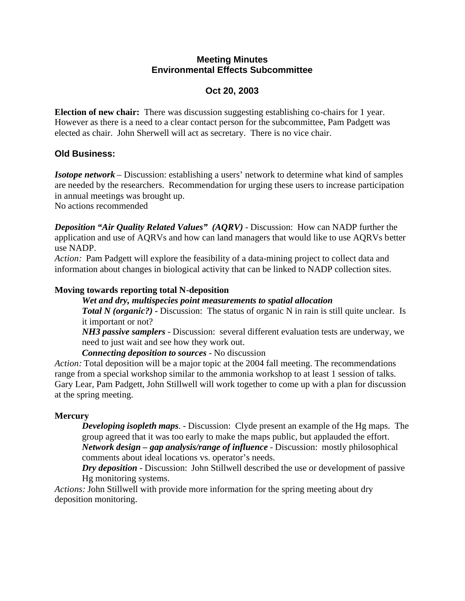## **Meeting Minutes Environmental Effects Subcommittee**

# **Oct 20, 2003**

**Election of new chair:** There was discussion suggesting establishing co-chairs for 1 year. However as there is a need to a clear contact person for the subcommittee, Pam Padgett was elected as chair. John Sherwell will act as secretary. There is no vice chair.

## **Old Business:**

*Isotope network* – Discussion: establishing a users' network to determine what kind of samples are needed by the researchers. Recommendation for urging these users to increase participation in annual meetings was brought up.

No actions recommended

*Deposition "Air Quality Related Values" (AQRV)* - Discussion: How can NADP further the application and use of AQRVs and how can land managers that would like to use AQRVs better use NADP.

*Action:* Pam Padgett will explore the feasibility of a data-mining project to collect data and information about changes in biological activity that can be linked to NADP collection sites.

### **Moving towards reporting total N-deposition**

#### *Wet and dry, multispecies point measurements to spatial allocation*

**Total N** (organic?) - Discussion: The status of organic N in rain is still quite unclear. Is it important or not?

*NH3 passive samplers* - Discussion: several different evaluation tests are underway, we need to just wait and see how they work out.

*Connecting deposition to sources* - No discussion

*Action:* Total deposition will be a major topic at the 2004 fall meeting. The recommendations range from a special workshop similar to the ammonia workshop to at least 1 session of talks. Gary Lear, Pam Padgett, John Stillwell will work together to come up with a plan for discussion at the spring meeting.

#### **Mercury**

*Developing isopleth maps*. - Discussion: Clyde present an example of the Hg maps. The group agreed that it was too early to make the maps public, but applauded the effort. *Network design – gap analysis/range of influence* - Discussion: mostly philosophical comments about ideal locations vs. operator's needs.

*Dry deposition* - Discussion: John Stillwell described the use or development of passive Hg monitoring systems.

*Actions:* John Stillwell with provide more information for the spring meeting about dry deposition monitoring.